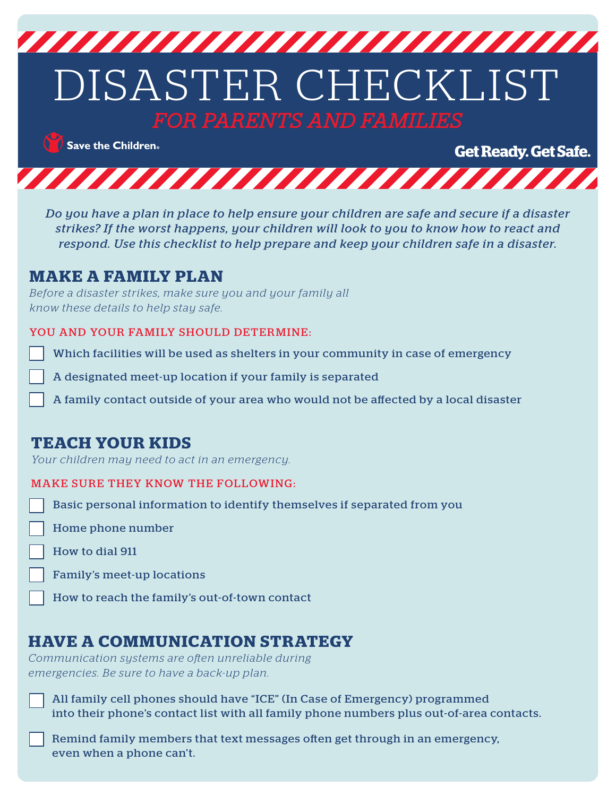

 $\bigcirc$  Save the Children.

**Get Ready. Get Safe.** 



*Do you have a plan in place to help ensure your children are safe and secure if a disaster strikes? If the worst happens, your children will look to you to know how to react and respond. Use this checklist to help prepare and keep your children safe in a disaster.*

#### **MAKE A FAMILY PLAN**

*Before a disaster strikes, make sure you and your family all know these details to help stay safe.*

#### YOU AND YOUR FAMILY SHOULD DETERMINE:

Which facilities will be used as shelters in your community in case of emergency

A designated meet-up location if your family is separated

A family contact outside of your area who would not be affected by a local disaster

## **TEACH YOUR KIDS**

*Your children may need to act in an emergency.*

#### MAKE SURE THEY KNOW THE FOLLOWING:

Basic personal information to identify themselves if separated from you

Home phone number

How to dial 911

Family's meet-up locations

How to reach the family's out-of-town contact

## **HAVE A COMMUNICATION STRATEGY**

*Communication systems are often unreliable during emergencies. Be sure to have a back-up plan.*

All family cell phones should have "ICE" (In Case of Emergency) programmed into their phone's contact list with all family phone numbers plus out-of-area contacts.

Remind family members that text messages often get through in an emergency, even when a phone can't.